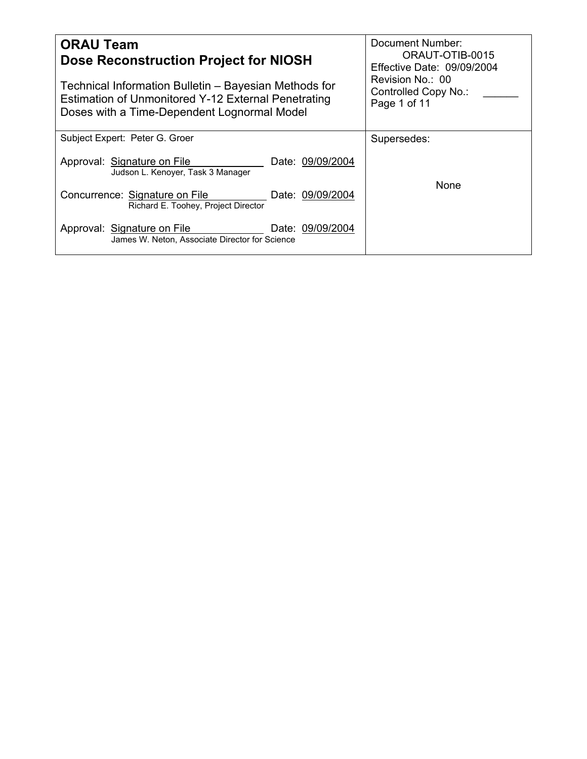| <b>ORAU Team</b><br><b>Dose Reconstruction Project for NIOSH</b><br>Technical Information Bulletin – Bayesian Methods for<br>Estimation of Unmonitored Y-12 External Penetrating<br>Doses with a Time-Dependent Lognormal Model | <b>Document Number:</b><br>ORAUT-OTIB-0015<br>Effective Date: 09/09/2004<br>Revision No.: 00<br>Controlled Copy No.:<br>Page 1 of 11 |
|---------------------------------------------------------------------------------------------------------------------------------------------------------------------------------------------------------------------------------|--------------------------------------------------------------------------------------------------------------------------------------|
| Subject Expert: Peter G. Groer                                                                                                                                                                                                  | Supersedes:                                                                                                                          |
| Approval: Signature on File<br>Date: 09/09/2004<br>Judson L. Kenoyer, Task 3 Manager                                                                                                                                            |                                                                                                                                      |
| Concurrence: Signature on File<br>Date: 09/09/2004<br>Richard E. Toohey, Project Director                                                                                                                                       | None                                                                                                                                 |
| Approval: Signature on File<br>Date: 09/09/2004<br>James W. Neton, Associate Director for Science                                                                                                                               |                                                                                                                                      |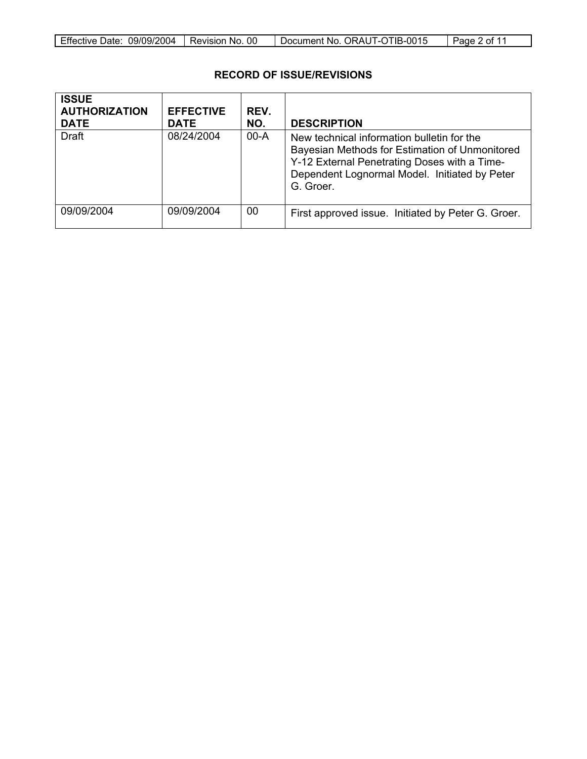| Effective Date: 09/09/2004 | I Revision No. 00 | Document No. ORAUT-OTIB-0015 | Page 2 of 11 |
|----------------------------|-------------------|------------------------------|--------------|

## **RECORD OF ISSUE/REVISIONS**

| <b>ISSUE</b><br><b>AUTHORIZATION</b><br><b>DATE</b> | <b>EFFECTIVE</b><br><b>DATE</b> | REV.<br>NO. | <b>DESCRIPTION</b>                                                                                                                                                                                         |
|-----------------------------------------------------|---------------------------------|-------------|------------------------------------------------------------------------------------------------------------------------------------------------------------------------------------------------------------|
| Draft                                               | 08/24/2004                      | $00-A$      | New technical information bulletin for the<br>Bayesian Methods for Estimation of Unmonitored<br>Y-12 External Penetrating Doses with a Time-<br>Dependent Lognormal Model. Initiated by Peter<br>G. Groer. |
| 09/09/2004                                          | 09/09/2004                      | 00          | First approved issue. Initiated by Peter G. Groer.                                                                                                                                                         |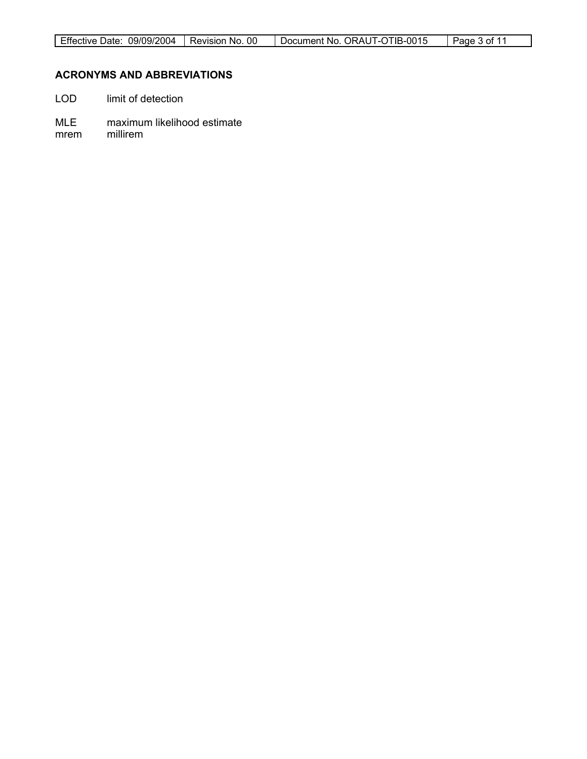# **ACRONYMS AND ABBREVIATIONS**

- LOD limit of detection
- MLE maximum likelihood estimate
- mrem millirem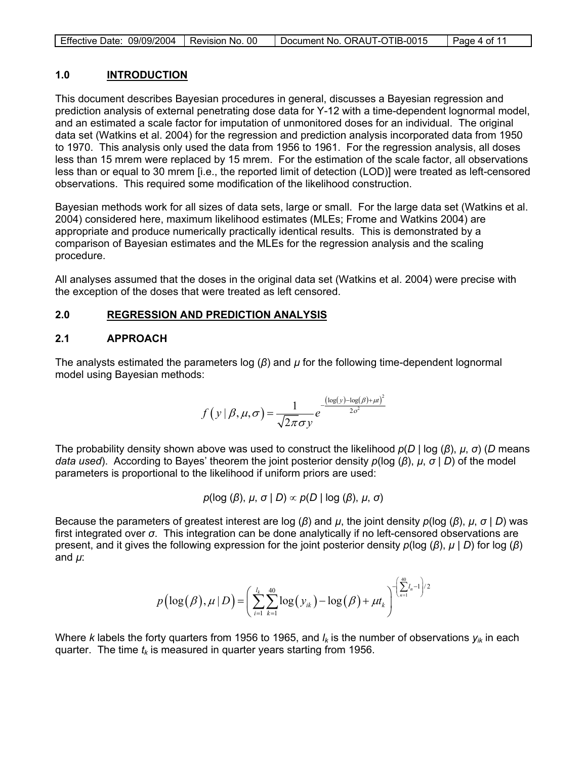| Effective Date: 09/09/2004   Revision No. 00 | Document No. ORAUT-OTIB-0015 | $\vert$ Page 4 of 11 |
|----------------------------------------------|------------------------------|----------------------|
|                                              |                              |                      |

## **1.0 INTRODUCTION**

This document describes Bayesian procedures in general, discusses a Bayesian regression and prediction analysis of external penetrating dose data for Y-12 with a time-dependent lognormal model, and an estimated a scale factor for imputation of unmonitored doses for an individual. The original data set (Watkins et al. 2004) for the regression and prediction analysis incorporated data from 1950 to 1970. This analysis only used the data from 1956 to 1961. For the regression analysis, all doses less than 15 mrem were replaced by 15 mrem. For the estimation of the scale factor, all observations less than or equal to 30 mrem [i.e., the reported limit of detection (LOD)] were treated as left-censored observations. This required some modification of the likelihood construction.

Bayesian methods work for all sizes of data sets, large or small. For the large data set (Watkins et al. 2004) considered here, maximum likelihood estimates (MLEs; Frome and Watkins 2004) are appropriate and produce numerically practically identical results. This is demonstrated by a comparison of Bayesian estimates and the MLEs for the regression analysis and the scaling procedure.

All analyses assumed that the doses in the original data set (Watkins et al. 2004) were precise with the exception of the doses that were treated as left censored.

### **2.0 REGRESSION AND PREDICTION ANALYSIS**

### **2.1 APPROACH**

The analysts estimated the parameters log (*β*) and *µ* for the following time-dependent lognormal model using Bayesian methods:

$$
f(y | \beta, \mu, \sigma) = \frac{1}{\sqrt{2\pi}\sigma y} e^{-\frac{(\log(y) - \log(\beta) + \mu t)^2}{2\sigma^2}}
$$

The probability density shown above was used to construct the likelihood *p*(*D* | log (*β*), *µ*, *σ*) (*D* means *data used*). According to Bayes' theorem the joint posterior density *p*(log (*β*), *µ*, *σ* | *D*) of the model parameters is proportional to the likelihood if uniform priors are used:

$$
p(\log (\beta), \mu, \sigma \mid D) \propto p(D \mid \log (\beta), \mu, \sigma)
$$

Because the parameters of greatest interest are log (*β*) and *µ*, the joint density *p*(log (*β*), *µ*, *σ* | *D*) was first integrated over *σ*. This integration can be done analytically if no left-censored observations are present, and it gives the following expression for the joint posterior density *p*(log (*β*), *µ* | *D*) for log (*β*) and *µ*:

$$
p\left(\log(\beta), \mu | D\right) = \left(\sum_{i=1}^{l_k} \sum_{k=1}^{40} \log(y_{ik}) - \log(\beta) + \mu t_k\right)^{-\left(\sum_{n=1}^{40} l_n - 1\right)/2}
$$

Where *k* labels the forty quarters from 1956 to 1965, and  $I_k$  is the number of observations  $y_{ik}$  in each quarter. The time  $t_k$  is measured in quarter years starting from 1956.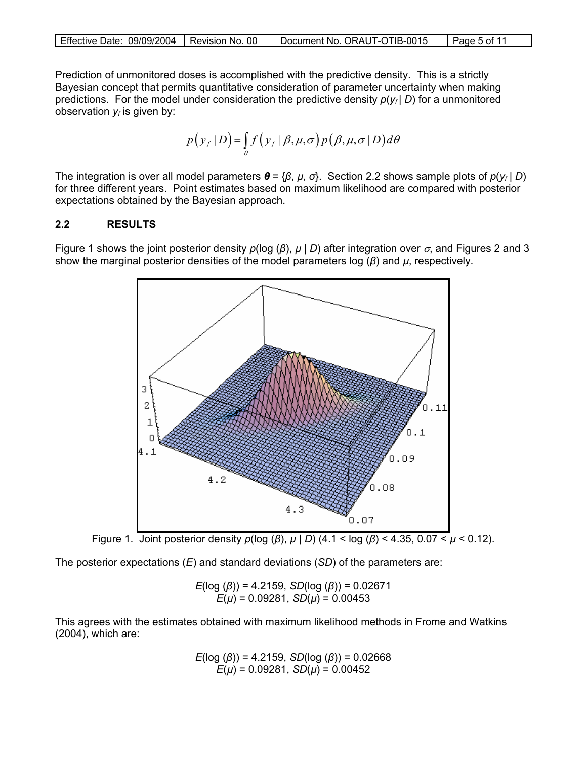|  | Effective Date: 09/09/2004   Revision No. 00 |  | Document No. ORAUT-OTIB-0015 | Page 5 of 11 |
|--|----------------------------------------------|--|------------------------------|--------------|
|--|----------------------------------------------|--|------------------------------|--------------|

Prediction of unmonitored doses is accomplished with the predictive density. This is a strictly Bayesian concept that permits quantitative consideration of parameter uncertainty when making predictions. For the model under consideration the predictive density  $p(y_f | D)$  for a unmonitored observation  $y_f$  is given by:

$$
p(y_f | D) = \int_{\theta} f(y_f | \beta, \mu, \sigma) p(\beta, \mu, \sigma | D) d\theta
$$

The integration is over all model parameters *θ* = {*β*, *µ*, *σ*}. Section 2.2 shows sample plots of *p*(*yf* | *D*) for three different years. Point estimates based on maximum likelihood are compared with posterior expectations obtained by the Bayesian approach.

### **2.2 RESULTS**

Figure 1 shows the joint posterior density  $p(\log (\beta), \mu | D)$  after integration over  $\sigma$ , and Figures 2 and 3 show the marginal posterior densities of the model parameters log (*β*) and *µ*, respectively.



Figure 1. Joint posterior density *p*(log (*β*), *µ* | *D*) (4.1 < log (*β*) < 4.35, 0.07 < *µ* < 0.12).

The posterior expectations (*E*) and standard deviations (*SD*) of the parameters are:

$$
E(\log (\beta)) = 4.2159, SD(\log (\beta)) = 0.02671
$$
  

$$
E(\mu) = 0.09281, SD(\mu) = 0.00453
$$

This agrees with the estimates obtained with maximum likelihood methods in Frome and Watkins (2004), which are:

$$
E(\log (\beta)) = 4.2159, SD(\log (\beta)) = 0.02668
$$
  

$$
E(\mu) = 0.09281, SD(\mu) = 0.00452
$$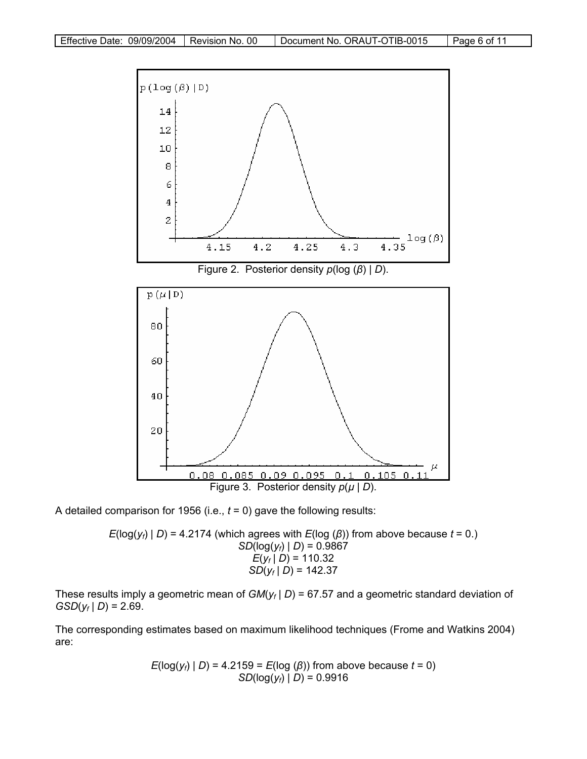

A detailed comparison for 1956 (i.e., *t* = 0) gave the following results:

 $E(log(y_f) | D) = 4.2174$  (which agrees with  $E(log (\beta))$  from above because  $t = 0.$ ) *SD*( $log(y_f) | D$ ) = 0.9867  $E(y_f | D) = 110.32$  $SD(y_f | D) = 142.37$ 

These results imply a geometric mean of  $GM(y_f | D) = 67.57$  and a geometric standard deviation of  $GSD(y_f | D) = 2.69$ .

The corresponding estimates based on maximum likelihood techniques (Frome and Watkins 2004) are:

$$
E(\log(y_f) | D) = 4.2159 = E(\log(\beta))
$$
 from above because  $t = 0$ )  
SD(log(y\_f) | D) = 0.9916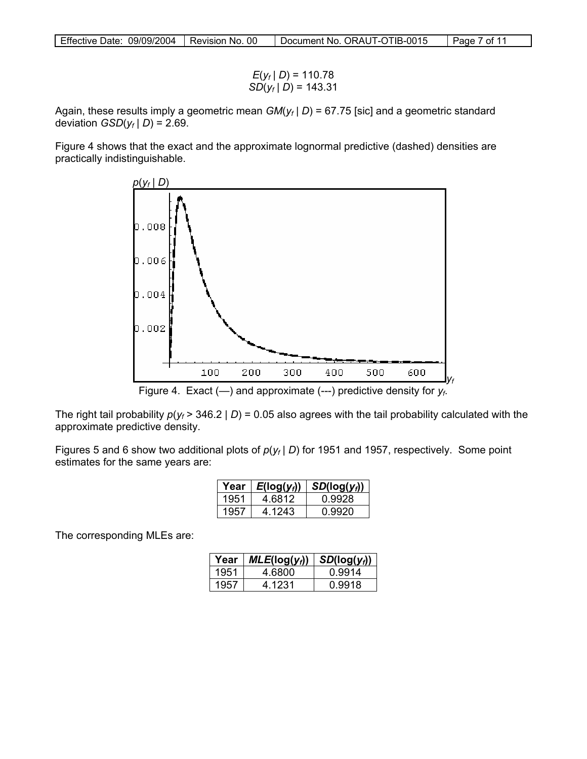| Effective Date: 09/09/2004   Revision No. 00 | Document No. ORAUT-OTIB-0015 | Page 7 of 11 |
|----------------------------------------------|------------------------------|--------------|

$$
E(y_f | D) = 110.78
$$
  
SD(y<sub>f</sub> | D) = 143.31

Again, these results imply a geometric mean *GM*(*yf* | *D*) = 67.75 [sic] and a geometric standard deviation  $GSD(y_f | D) = 2.69$ .

Figure 4 shows that the exact and the approximate lognormal predictive (dashed) densities are practically indistinguishable.



The right tail probability  $p(y_f > 346.2 | D) = 0.05$  also agrees with the tail probability calculated with the approximate predictive density.

Figures 5 and 6 show two additional plots of  $p(y_f | D)$  for 1951 and 1957, respectively. Some point estimates for the same years are:

| Year | $E(log(y_i))$ | $SD(log(y_i))$ |
|------|---------------|----------------|
| 1951 | 4.6812        | 0.9928         |
| 1957 | 4 1243        | በ 9920         |

The corresponding MLEs are:

| Year | $MLE(log(y_i))$ | $SD(log(y_i))$ |
|------|-----------------|----------------|
| 1951 | 4.6800          | 0.9914         |
|      | 4 1231          | 0.9918         |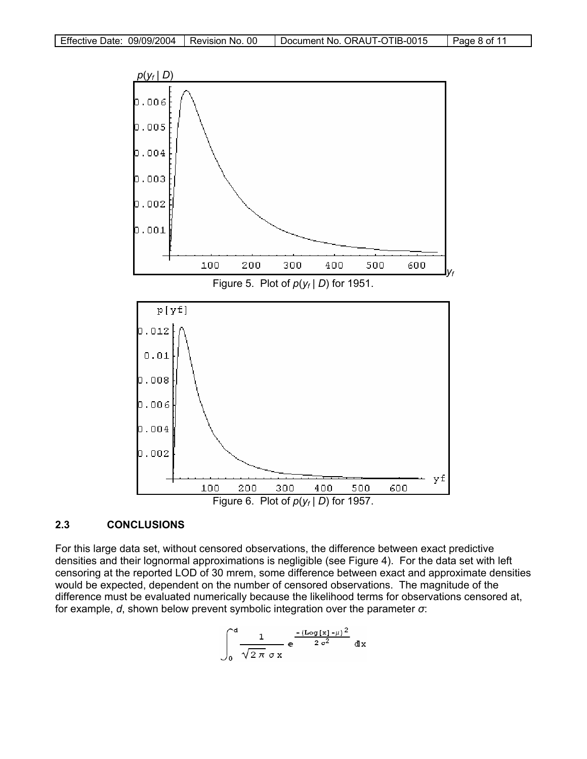

## **2.3 CONCLUSIONS**

For this large data set, without censored observations, the difference between exact predictive densities and their lognormal approximations is negligible (see Figure 4). For the data set with left censoring at the reported LOD of 30 mrem, some difference between exact and approximate densities would be expected, dependent on the number of censored observations. The magnitude of the difference must be evaluated numerically because the likelihood terms for observations censored at, for example, *d*, shown below prevent symbolic integration over the parameter *σ*:

$$
\int_0^d \frac{1}{\sqrt{2\pi} \sigma x} e^{-\frac{(\text{Log}[x]-\mu)^2}{2\sigma^2}} dx
$$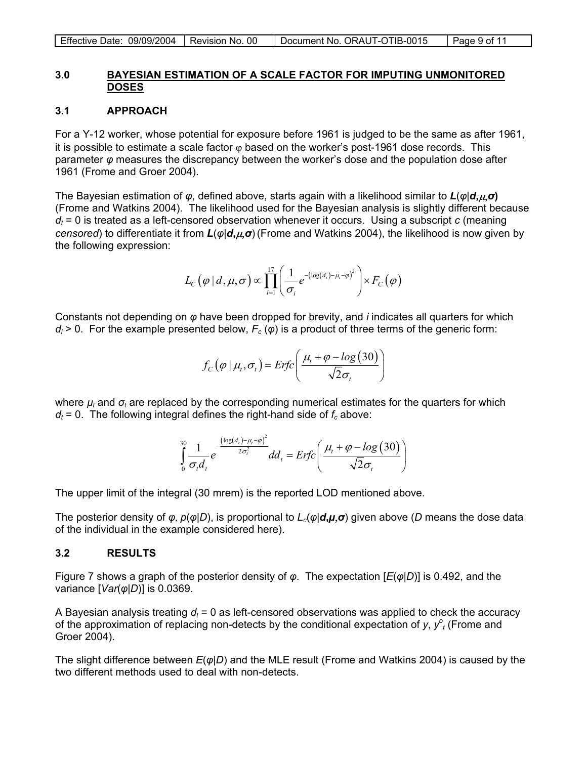| Effective Date: 09/09/2004   Revision No. 00 |  | Document No. ORAUT-OTIB-0015 | Page 9 of 11 |
|----------------------------------------------|--|------------------------------|--------------|
|----------------------------------------------|--|------------------------------|--------------|

#### **3.0 BAYESIAN ESTIMATION OF A SCALE FACTOR FOR IMPUTING UNMONITORED DOSES**

### **3.1 APPROACH**

For a Y-12 worker, whose potential for exposure before 1961 is judged to be the same as after 1961, it is possible to estimate a scale factor  $\varphi$  based on the worker's post-1961 dose records. This parameter *φ* measures the discrepancy between the worker's dose and the population dose after 1961 (Frome and Groer 2004).

The Bayesian estimation of *φ*, defined above, starts again with a likelihood similar to *L*(*φ*|*d***,**µ,*σ***)** (Frome and Watkins 2004). The likelihood used for the Bayesian analysis is slightly different because  $d_t$  = 0 is treated as a left-censored observation whenever it occurs. Using a subscript *c* (meaning *censored*) to differentiate it from *L*(*φ*|*d***,**µ,*σ*) (Frome and Watkins 2004), the likelihood is now given by the following expression:

$$
L_C(\varphi | d, \mu, \sigma) \propto \prod_{i=1}^{17} \left( \frac{1}{\sigma_i} e^{-(\log(d_i) - \mu_i - \varphi)^2} \right) \times F_C(\varphi)
$$

Constants not depending on *φ* have been dropped for brevity, and *i* indicates all quarters for which  $d_i > 0$ . For the example presented below,  $F_c(\varphi)$  is a product of three terms of the generic form:

$$
f_C(\varphi \mid \mu_t, \sigma_t) = ErfC\left(\frac{\mu_t + \varphi - \log(30)}{\sqrt{2}\sigma_t}\right)
$$

where *µt* and *σt* are replaced by the corresponding numerical estimates for the quarters for which  $d_t$  = 0. The following integral defines the right-hand side of  $f_c$  above:

$$
\int_{0}^{30} \frac{1}{\sigma_t d_t} e^{-\frac{\left(\log(d_t) - \mu_t - \varphi\right)^2}{2\sigma_t^2}} d d_t = Erfc\left(\frac{\mu_t + \varphi - \log(30)}{\sqrt{2}\sigma_t}\right)
$$

The upper limit of the integral (30 mrem) is the reported LOD mentioned above.

The posterior density of  $\varphi$ ,  $p(\varphi|D)$ , is proportional to  $L_c(\varphi|\mathbf{d},\mu,\sigma)$  given above (*D* means the dose data of the individual in the example considered here).

### **3.2 RESULTS**

Figure 7 shows a graph of the posterior density of *φ*. The expectation [*E*(*φ*|*D*)] is 0.492, and the variance [*Var*(*φ*|*D*)] is 0.0369.

A Bayesian analysis treating  $d_t = 0$  as left-censored observations was applied to check the accuracy of the approximation of replacing non-detects by the conditional expectation of  $y$ ,  $y^o_t$  (Frome and Groer 2004).

The slight difference between *E*(*φ*|*D*) and the MLE result (Frome and Watkins 2004) is caused by the two different methods used to deal with non-detects.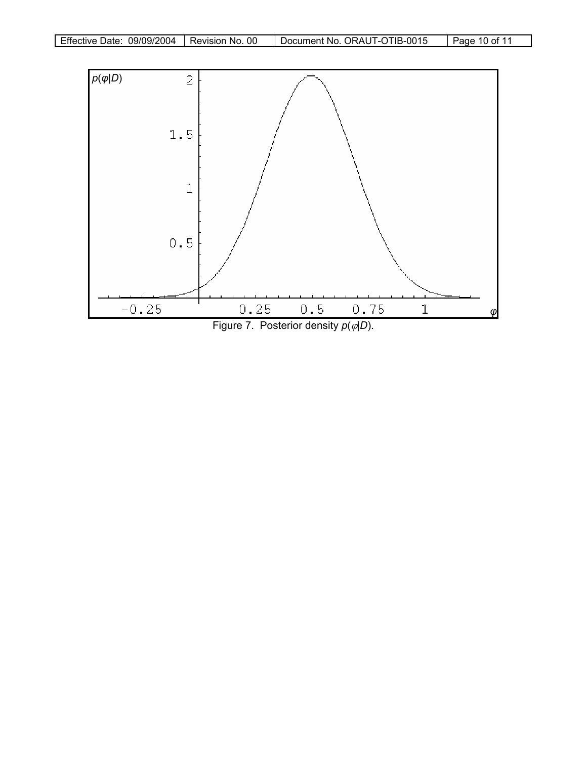